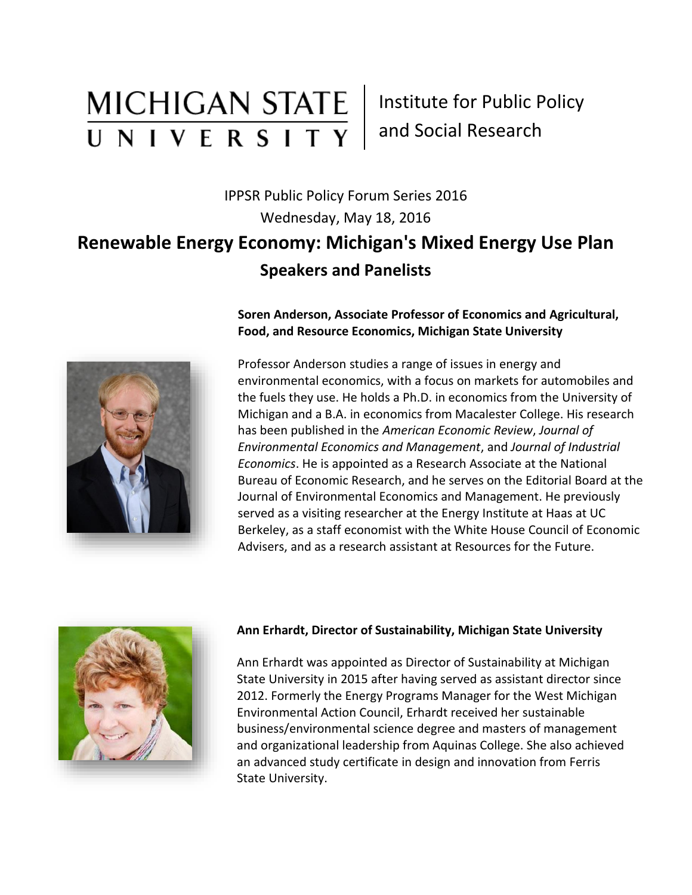# **MICHIGAN STATE** UNIVERSITY

Institute for Public Policy and Social Research

## IPPSR Public Policy Forum Series 2016 Wednesday, May 18, 2016 **Renewable Energy Economy: Michigan's Mixed Energy Use Plan Speakers and Panelists**



**Soren Anderson, Associate Professor of Economics and Agricultural, Food, and Resource Economics, Michigan State University**

Professor Anderson studies a range of issues in energy and environmental economics, with a focus on markets for automobiles and the fuels they use. He holds a Ph.D. in economics from the University of Michigan and a B.A. in economics from Macalester College. His research has been published in the *American Economic Review*, *Journal of Environmental Economics and Management*, and *Journal of Industrial Economics*. He is appointed as a Research Associate at the National Bureau of Economic Research, and he serves on the Editorial Board at the Journal of Environmental Economics and Management. He previously served as a visiting researcher at the Energy Institute at Haas at UC Berkeley, as a staff economist with the White House Council of Economic Advisers, and as a research assistant at Resources for the Future.



#### **Ann Erhardt, Director of Sustainability, Michigan State University**

Ann Erhardt was appointed as Director of Sustainability at Michigan State University in 2015 after having served as assistant director since 2012. Formerly the Energy Programs Manager for the West Michigan Environmental Action Council, Erhardt received her sustainable business/environmental science degree and masters of management and organizational leadership from Aquinas College. She also achieved an advanced study certificate in design and innovation from Ferris State University.